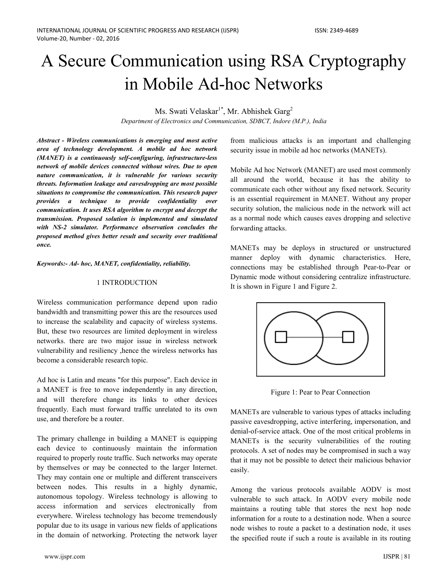# A Secure Communication using RSA Cryptography in Mobile Ad-hoc Networks

Ms. Swati Velaskar<sup>1\*</sup>, Mr. Abhishek Garg<sup>2</sup>

Department of Electronics and Communication, SDBCT, Indore (M.P.), India

Abstract - Wireless communications is emerging and most active area of technology development. A mobile ad hoc network (MANET) is a continuously self-configuring, infrastructure-less network of mobile devices connected without wires. Due to open nature communication, it is vulnerable for various security threats. Information leakage and eavesdropping are most possible situations to compromise the communication. This research paper provides a technique to provide confidentiality over communication. It uses RSA algorithm to encrypt and decrypt the transmission. Proposed solution is implemented and simulated with NS-2 simulator. Performance observation concludes the proposed method gives better result and security over traditional once.

Keywords:- Ad- hoc, MANET, confidentiality, reliability.

#### 1 INTRODUCTION

Wireless communication performance depend upon radio bandwidth and transmitting power this are the resources used to increase the scalability and capacity of wireless systems. But, these two resources are limited deployment in wireless networks. there are two major issue in wireless network vulnerability and resiliency , hence the wireless networks has become a considerable research topic.

Ad hoc is Latin and means "for this purpose". Each device in a MANET is free to move independently in any direction, and will therefore change its links to other devices frequently. Each must forward traffic unrelated to its own use, and therefore be a router.

The primary challenge in building a MANET is equipping each device to continuously maintain the information required to properly route traffic. Such networks may operate by themselves or may be connected to the larger Internet. They may contain one or multiple and different transceivers between nodes. This results in a highly dynamic, autonomous topology. Wireless technology is allowing to access information and services electronically from everywhere. Wireless technology has become tremendously popular due to its usage in various new fields of applications in the domain of networking. Protecting the network layer

from malicious attacks is an important and challenging security issue in mobile ad hoc networks (MANETs).

Mobile Ad hoc Network (MANET) are used most commonly all around the world, because it has the ability to communicate each other without any fixed network. Security is an essential requirement in MANET. Without any proper security solution, the malicious node in the network will act as a normal node which causes eaves dropping and selective forwarding attacks.

MANETs may be deploys in structured or unstructured manner deploy with dynamic characteristics. Here, connections may be established through Pear-to-Pear or Dynamic mode without considering centralize infrastructure. It is shown in Figure 1 and Figure 2.



Figure 1: Pear to Pear Connection

MANETs are vulnerable to various types of attacks including passive eavesdropping, active interfering, impersonation, and denial-of-service attack. One of the most critical problems in MANETs is the security vulnerabilities of the routing protocols. A set of nodes may be compromised in such a way that it may not be possible to detect their malicious behavior easily.

Among the various protocols available AODV is most vulnerable to such attack. In AODV every mobile node maintains a routing table that stores the next hop node information for a route to a destination node. When a source node wishes to route a packet to a destination node, it uses the specified route if such a route is available in its routing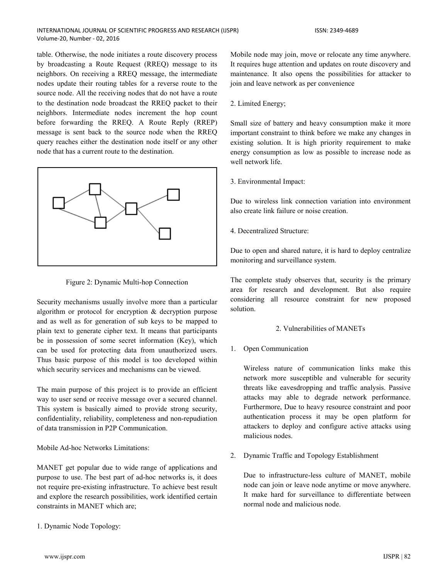#### INTERNATIONAL JOURNAL OF SCIENTIFIC PROGRESS AND RESEARCH (IJSPR) Volume-20, Number - 02, 2016

table. Otherwise, the node initiates a route discovery process by broadcasting a Route Request (RREQ) message to its neighbors. On receiving a RREQ message, the intermediate nodes update their routing tables for a reverse route to the source node. All the receiving nodes that do not have a route to the destination node broadcast the RREQ packet to their neighbors. Intermediate nodes increment the hop count before forwarding the RREQ. A Route Reply (RREP) message is sent back to the source node when the RREQ query reaches either the destination node itself or any other node that has a current route to the destination.



Figure 2: Dynamic Multi-hop Connection

Security mechanisms usually involve more than a particular algorithm or protocol for encryption & decryption purpose and as well as for generation of sub keys to be mapped to plain text to generate cipher text. It means that participants be in possession of some secret information (Key), which can be used for protecting data from unauthorized users. Thus basic purpose of this model is too developed within which security services and mechanisms can be viewed.

The main purpose of this project is to provide an efficient way to user send or receive message over a secured channel. This system is basically aimed to provide strong security, confidentiality, reliability, completeness and non-repudiation of data transmission in P2P Communication.

Mobile Ad-hoc Networks Limitations:

MANET get popular due to wide range of applications and purpose to use. The best part of ad-hoc networks is, it does not require pre-existing infrastructure. To achieve best result and explore the research possibilities, work identified certain constraints in MANET which are;

Mobile node may join, move or relocate any time anywhere. It requires huge attention and updates on route discovery and maintenance. It also opens the possibilities for attacker to join and leave network as per convenience

## 2. Limited Energy;

Small size of battery and heavy consumption make it more important constraint to think before we make any changes in existing solution. It is high priority requirement to make energy consumption as low as possible to increase node as well network life.

3. Environmental Impact:

Due to wireless link connection variation into environment also create link failure or noise creation

4. Decentralized Structure:

Due to open and shared nature, it is hard to deploy centralize monitoring and surveillance system.

The complete study observes that, security is the primary area for research and development. But also require considering all resource constraint for new proposed solution.

# 2. Vulnerabilities of MANETs

1. Open Communication

Wireless nature of communication links make this network more susceptible and vulnerable for security threats like eavesdropping and traffic analysis. Passive attacks may able to degrade network performance. Furthermore, Due to heavy resource constraint and poor authentication process it may be open platform for attackers to deploy and configure active attacks using malicious nodes.

2. Dynamic Traffic and Topology Establishment

Due to infrastructure-less culture of MANET, mobile node can join or leave node anytime or move anywhere. It make hard for surveillance to differentiate between normal node and malicious node.

1. Dynamic Node Topology: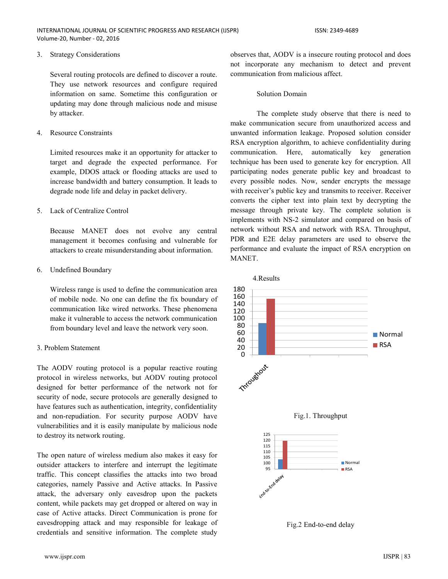#### 3. Strategy Considerations

Several routing protocols are defined to discover a route. They use network resources and configure required information on same. Sometime this configuration or updating may done through malicious node and misuse by attacker.

#### 4. Resource Constraints

Limited resources make it an opportunity for attacker to target and degrade the expected performance. For example, DDOS attack or flooding attacks are used to increase bandwidth and battery consumption. It leads to degrade node life and delay in packet delivery.

#### 5 Lack of Centralize Control

Because MANET does not evolve any central management it becomes confusing and vulnerable for attackers to create misunderstanding about information.

#### 6. Undefined Boundary

Wireless range is used to define the communication area of mobile node. No one can define the fix boundary of communication like wired networks. These phenomena make it vulnerable to access the network communication from boundary level and leave the network very soon.

## 3 Problem Statement

The AODV routing protocol is a popular reactive routing protocol in wireless networks, but AODV routing protocol designed for better performance of the network not for security of node, secure protocols are generally designed to have features such as authentication, integrity, confidentiality and non-repudiation. For security purpose AODV have vulnerabilities and it is easily manipulate by malicious node to destroy its network routing.

The open nature of wireless medium also makes it easy for outsider attackers to interfere and interrupt the legitimate traffic. This concept classifies the attacks into two broad categories, namely Passive and Active attacks. In Passive attack, the adversary only eavesdrop upon the packets content, while packets may get dropped or altered on way in case of Active attacks. Direct Communication is prone for eavesdropping attack and may responsible for leakage of credentials and sensitive information. The complete study

observes that, AODV is a insecure routing protocol and does not incorporate any mechanism to detect and prevent communication from malicious affect.

#### **Solution Domain**

The complete study observe that there is need to make communication secure from unauthorized access and unwanted information leakage. Proposed solution consider RSA encryption algorithm, to achieve confidentiality during communication. Here, automatically key generation technique has been used to generate key for encryption. All participating nodes generate public key and broadcast to every possible nodes. Now, sender encrypts the message with receiver's public key and transmits to receiver. Receiver converts the cipher text into plain text by decrypting the message through private key. The complete solution is implements with NS-2 simulator and compared on basis of network without RSA and network with RSA. Throughput, PDR and E2E delay parameters are used to observe the performance and evaluate the impact of RSA encryption on MANET.



Fig.2 End-to-end delay